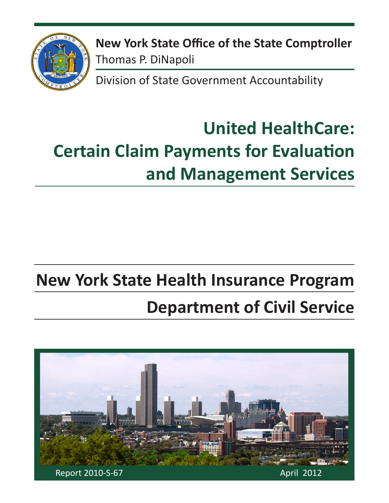

**New York State Office of the State Comptroller** Thomas P. DiNapoli

Division of State Government Accountability

# **United HealthCare: Certain Claim Payments for Evaluation and Management Services**

## **New York State Health Insurance Program**

# **Department of Civil Service**

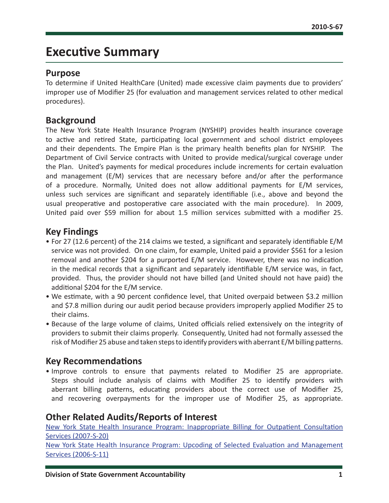### **Executive Summary**

#### **Purpose**

To determine if United HealthCare (United) made excessive claim payments due to providers' improper use of Modifier 25 (for evaluation and management services related to other medical procedures).

#### **Background**

The New York State Health Insurance Program (NYSHIP) provides health insurance coverage to active and retired State, participating local government and school district employees and their dependents. The Empire Plan is the primary health benefits plan for NYSHIP. The Department of Civil Service contracts with United to provide medical/surgical coverage under the Plan. United's payments for medical procedures include increments for certain evaluation and management (E/M) services that are necessary before and/or after the performance of a procedure. Normally, United does not allow additional payments for E/M services, unless such services are significant and separately identifiable (i.e., above and beyond the usual preoperative and postoperative care associated with the main procedure). In 2009, United paid over \$59 million for about 1.5 million services submitted with a modifier 25.

#### **Key Findings**

- For 27 (12.6 percent) of the 214 claims we tested, a significant and separately identifiable E/M service was not provided. On one claim, for example, United paid a provider \$561 for a lesion removal and another \$204 for a purported E/M service. However, there was no indication in the medical records that a significant and separately identifiable E/M service was, in fact, provided. Thus, the provider should not have billed (and United should not have paid) the additional \$204 for the E/M service.
- We estimate, with a 90 percent confidence level, that United overpaid between \$3.2 million and \$7.8 million during our audit period because providers improperly applied Modifier 25 to their claims.
- Because of the large volume of claims, United officials relied extensively on the integrity of providers to submit their claims properly. Consequently, United had not formally assessed the risk of Modifier 25 abuse and taken steps to identify providers with aberrant E/M billing patterns.

#### **Key Recommendations**

• Improve controls to ensure that payments related to Modifier 25 are appropriate. Steps should include analysis of claims with Modifier 25 to identify providers with aberrant billing patterns, educating providers about the correct use of Modifier 25, and recovering overpayments for the improper use of Modifier 25, as appropriate.

#### **Other Related Audits/Reports of Interest**

[New York State Health Insurance Program: Inappropriate Billing for Outpatient Consultation](http://osc.state.ny.us/audits/allaudits/093008/07s20.pdf)  [Services \(2007-S-20\)](http://osc.state.ny.us/audits/allaudits/093008/07s20.pdf)

[New York State Health Insurance Program: Upcoding of Selected Evaluation and Management](http://osc.state.ny.us/audits/allaudits/093007/06s11.pdf)  [Services \(2006-S-11\)](http://osc.state.ny.us/audits/allaudits/093007/06s11.pdf)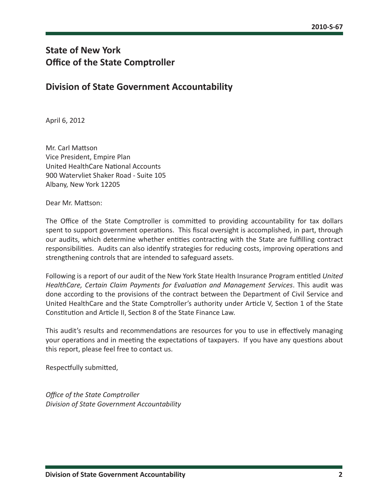### **State of New York Office of the State Comptroller**

#### **Division of State Government Accountability**

April 6, 2012

Mr. Carl Mattson Vice President, Empire Plan United HealthCare National Accounts 900 Watervliet Shaker Road - Suite 105 Albany, New York 12205

Dear Mr. Mattson:

The Office of the State Comptroller is committed to providing accountability for tax dollars spent to support government operations. This fiscal oversight is accomplished, in part, through our audits, which determine whether entities contracting with the State are fulfilling contract responsibilities. Audits can also identify strategies for reducing costs, improving operations and strengthening controls that are intended to safeguard assets.

Following is a report of our audit of the New York State Health Insurance Program entitled *United HealthCare, Certain Claim Payments for Evaluation and Management Services*. This audit was done according to the provisions of the contract between the Department of Civil Service and United HealthCare and the State Comptroller's authority under Article V, Section 1 of the State Constitution and Article II, Section 8 of the State Finance Law.

This audit's results and recommendations are resources for you to use in effectively managing your operations and in meeting the expectations of taxpayers. If you have any questions about this report, please feel free to contact us.

Respectfully submitted,

*Office of the State Comptroller Division of State Government Accountability*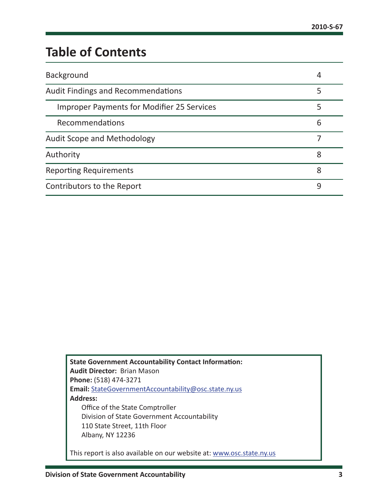### **Table of Contents**

| Background                                        | 4 |
|---------------------------------------------------|---|
| <b>Audit Findings and Recommendations</b>         |   |
| <b>Improper Payments for Modifier 25 Services</b> | 5 |
| Recommendations                                   | 6 |
| <b>Audit Scope and Methodology</b>                |   |
| Authority                                         | 8 |
| <b>Reporting Requirements</b>                     | 8 |
| Contributors to the Report                        | 9 |

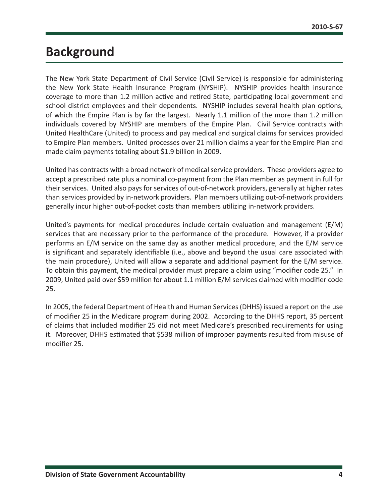### <span id="page-4-0"></span>**Background**

The New York State Department of Civil Service (Civil Service) is responsible for administering the New York State Health Insurance Program (NYSHIP). NYSHIP provides health insurance coverage to more than 1.2 million active and retired State, participating local government and school district employees and their dependents. NYSHIP includes several health plan options, of which the Empire Plan is by far the largest. Nearly 1.1 million of the more than 1.2 million individuals covered by NYSHIP are members of the Empire Plan. Civil Service contracts with United HealthCare (United) to process and pay medical and surgical claims for services provided to Empire Plan members. United processes over 21 million claims a year for the Empire Plan and made claim payments totaling about \$1.9 billion in 2009.

United has contracts with a broad network of medical service providers. These providers agree to accept a prescribed rate plus a nominal co-payment from the Plan member as payment in full for their services. United also pays for services of out-of-network providers, generally at higher rates than services provided by in-network providers. Plan members utilizing out-of-network providers generally incur higher out-of-pocket costs than members utilizing in-network providers.

United's payments for medical procedures include certain evaluation and management (E/M) services that are necessary prior to the performance of the procedure. However, if a provider performs an E/M service on the same day as another medical procedure, and the E/M service is significant and separately identifiable (i.e., above and beyond the usual care associated with the main procedure), United will allow a separate and additional payment for the E/M service. To obtain this payment, the medical provider must prepare a claim using "modifier code 25." In 2009, United paid over \$59 million for about 1.1 million E/M services claimed with modifier code 25.

In 2005, the federal Department of Health and Human Services (DHHS) issued a report on the use of modifier 25 in the Medicare program during 2002. According to the DHHS report, 35 percent of claims that included modifier 25 did not meet Medicare's prescribed requirements for using it. Moreover, DHHS estimated that \$538 million of improper payments resulted from misuse of modifier 25.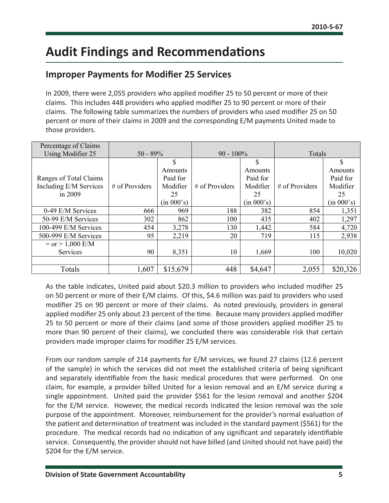### <span id="page-5-0"></span>**Audit Findings and Recommendations**

#### **Improper Payments for Modifier 25 Services**

In 2009, there were 2,055 providers who applied modifier 25 to 50 percent or more of their claims. This includes 448 providers who applied modifier 25 to 90 percent or more of their claims. The following table summarizes the numbers of providers who used modifier 25 on 50 percent or more of their claims in 2009 and the corresponding E/M payments United made to those providers.

| Percentage of Claims   |                  |            |                |            |                  |            |
|------------------------|------------------|------------|----------------|------------|------------------|------------|
| Using Modifier 25      | $50 - 89%$       |            | $90 - 100\%$   |            | Totals           |            |
|                        |                  | \$         |                | \$         |                  | \$         |
|                        |                  | Amounts    |                | Amounts    |                  | Amounts    |
| Ranges of Total Claims |                  | Paid for   |                | Paid for   |                  | Paid for   |
| Including E/M Services | $#$ of Providers | Modifier   | # of Providers | Modifier   | $#$ of Providers | Modifier   |
| in 2009                |                  | 25         |                | 25         |                  | 25         |
|                        |                  | (in 000's) |                | (in 000's) |                  | (in 000's) |
| 0-49 E/M Services      | 666              | 969        | 188            | 382        | 854              | 1,351      |
| 50-99 E/M Services     | 302              | 862        | 100            | 435        | 402              | 1,297      |
| 100-499 E/M Services   | 454              | 3,278      | 130            | 1,442      | 584              | 4,720      |
| 500-999 E/M Services   | 95               | 2,219      | 20             | 719        | 115              | 2,938      |
| $=$ or $> 1,000$ E/M   |                  |            |                |            |                  |            |
| Services               | 90               | 8,351      | 10             | 1,669      | 100              | 10,020     |
|                        |                  |            |                |            |                  |            |
| Totals                 | 1,607            | \$15,679   | 448            | \$4,647    | 2,055            | \$20,326   |

As the table indicates, United paid about \$20.3 million to providers who included modifier 25 on 50 percent or more of their E/M claims. Of this, \$4.6 million was paid to providers who used modifier 25 on 90 percent or more of their claims. As noted previously, providers in general applied modifier 25 only about 23 percent of the time. Because many providers applied modifier 25 to 50 percent or more of their claims (and some of those providers applied modifier 25 to more than 90 percent of their claims), we concluded there was considerable risk that certain providers made improper claims for modifier 25 E/M services.

From our random sample of 214 payments for E/M services, we found 27 claims (12.6 percent of the sample) in which the services did not meet the established criteria of being significant and separately identifiable from the basic medical procedures that were performed. On one claim, for example, a provider billed United for a lesion removal and an E/M service during a single appointment. United paid the provider \$561 for the lesion removal and another \$204 for the E/M service. However, the medical records indicated the lesion removal was the sole purpose of the appointment. Moreover, reimbursement for the provider's normal evaluation of the patient and determination of treatment was included in the standard payment (\$561) for the procedure. The medical records had no indication of any significant and separately identifiable service. Consequently, the provider should not have billed (and United should not have paid) the \$204 for the E/M service.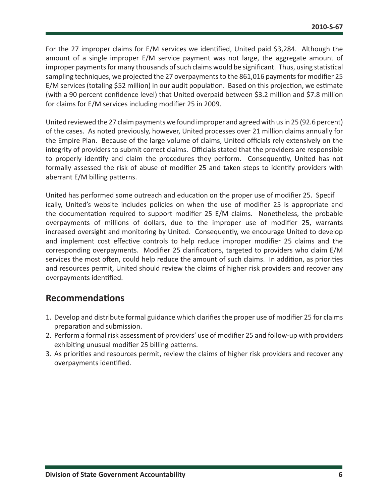<span id="page-6-0"></span>For the 27 improper claims for E/M services we identified, United paid \$3,284. Although the amount of a single improper E/M service payment was not large, the aggregate amount of improper payments for many thousands of such claims would be significant. Thus, using statistical sampling techniques, we projected the 27 overpayments to the 861,016 payments for modifier 25 E/M services (totaling \$52 million) in our audit population. Based on this projection, we estimate (with a 90 percent confidence level) that United overpaid between \$3.2 million and \$7.8 million for claims for E/M services including modifier 25 in 2009.

United reviewed the 27 claim payments we found improper and agreed with us in 25 (92.6 percent) of the cases. As noted previously, however, United processes over 21 million claims annually for the Empire Plan. Because of the large volume of claims, United officials rely extensively on the integrity of providers to submit correct claims. Officials stated that the providers are responsible to properly identify and claim the procedures they perform. Consequently, United has not formally assessed the risk of abuse of modifier 25 and taken steps to identify providers with aberrant E/M billing patterns.

United has performed some outreach and education on the proper use of modifier 25. Specif ically, United's website includes policies on when the use of modifier 25 is appropriate and the documentation required to support modifier 25 E/M claims. Nonetheless, the probable overpayments of millions of dollars, due to the improper use of modifier 25, warrants increased oversight and monitoring by United. Consequently, we encourage United to develop and implement cost effective controls to help reduce improper modifier 25 claims and the corresponding overpayments. Modifier 25 clarifications, targeted to providers who claim E/M services the most often, could help reduce the amount of such claims. In addition, as priorities and resources permit, United should review the claims of higher risk providers and recover any overpayments identified.

#### **Recommendations**

- 1. Develop and distribute formal guidance which clarifies the proper use of modifier 25 for claims preparation and submission.
- 2. Perform a formal risk assessment of providers' use of modifier 25 and follow-up with providers exhibiting unusual modifier 25 billing patterns.
- 3. As priorities and resources permit, review the claims of higher risk providers and recover any overpayments identified.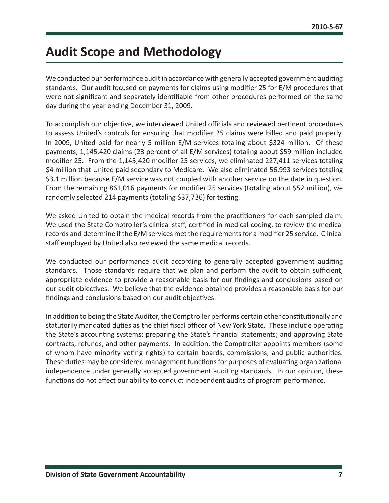### <span id="page-7-0"></span>**Audit Scope and Methodology**

We conducted our performance audit in accordance with generally accepted government auditing standards. Our audit focused on payments for claims using modifier 25 for E/M procedures that were not significant and separately identifiable from other procedures performed on the same day during the year ending December 31, 2009.

To accomplish our objective, we interviewed United officials and reviewed pertinent procedures to assess United's controls for ensuring that modifier 25 claims were billed and paid properly. In 2009, United paid for nearly 5 million E/M services totaling about \$324 million. Of these payments, 1,145,420 claims (23 percent of all E/M services) totaling about \$59 million included modifier 25. From the 1,145,420 modifier 25 services, we eliminated 227,411 services totaling \$4 million that United paid secondary to Medicare. We also eliminated 56,993 services totaling \$3.1 million because E/M service was not coupled with another service on the date in question. From the remaining 861,016 payments for modifier 25 services (totaling about \$52 million), we randomly selected 214 payments (totaling \$37,736) for testing.

We asked United to obtain the medical records from the practitioners for each sampled claim. We used the State Comptroller's clinical staff, certified in medical coding, to review the medical records and determine if the E/M services met the requirements for a modifier 25 service. Clinical staff employed by United also reviewed the same medical records.

We conducted our performance audit according to generally accepted government auditing standards. Those standards require that we plan and perform the audit to obtain sufficient, appropriate evidence to provide a reasonable basis for our findings and conclusions based on our audit objectives. We believe that the evidence obtained provides a reasonable basis for our findings and conclusions based on our audit objectives.

In addition to being the State Auditor, the Comptroller performs certain other constitutionally and statutorily mandated duties as the chief fiscal officer of New York State. These include operating the State's accounting systems; preparing the State's financial statements; and approving State contracts, refunds, and other payments. In addition, the Comptroller appoints members (some of whom have minority voting rights) to certain boards, commissions, and public authorities. These duties may be considered management functions for purposes of evaluating organizational independence under generally accepted government auditing standards. In our opinion, these functions do not affect our ability to conduct independent audits of program performance.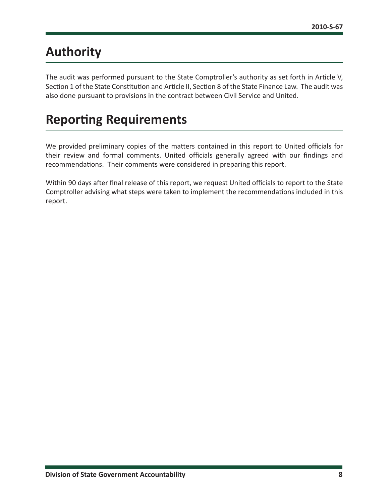### <span id="page-8-0"></span>**Authority**

The audit was performed pursuant to the State Comptroller's authority as set forth in Article V, Section 1 of the State Constitution and Article II, Section 8 of the State Finance Law. The audit was also done pursuant to provisions in the contract between Civil Service and United.

### **Reporting Requirements**

We provided preliminary copies of the matters contained in this report to United officials for their review and formal comments. United officials generally agreed with our findings and recommendations. Their comments were considered in preparing this report.

Within 90 days after final release of this report, we request United officials to report to the State Comptroller advising what steps were taken to implement the recommendations included in this report.